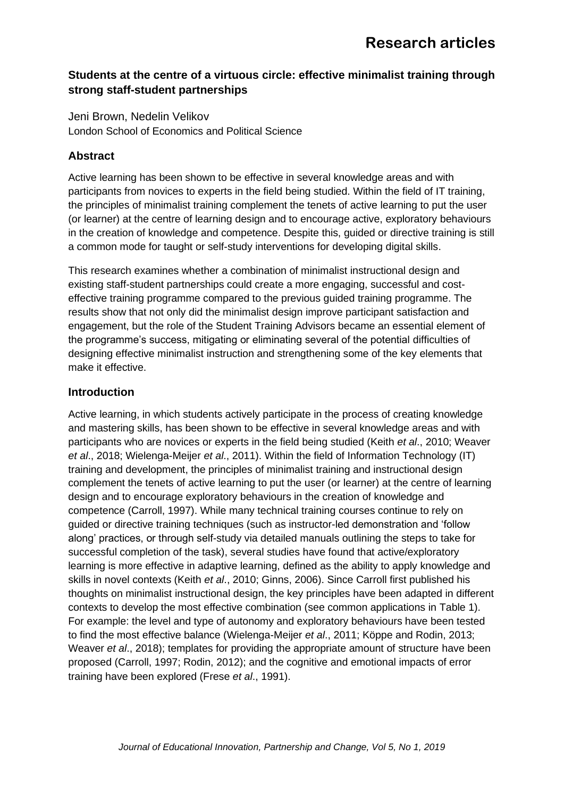### **Students at the centre of a virtuous circle: effective minimalist training through strong staff-student partnerships**

Jeni Brown, Nedelin Velikov London School of Economics and Political Science

## **Abstract**

Active learning has been shown to be effective in several knowledge areas and with participants from novices to experts in the field being studied. Within the field of IT training, the principles of minimalist training complement the tenets of active learning to put the user (or learner) at the centre of learning design and to encourage active, exploratory behaviours in the creation of knowledge and competence. Despite this, guided or directive training is still a common mode for taught or self-study interventions for developing digital skills.

This research examines whether a combination of minimalist instructional design and existing staff-student partnerships could create a more engaging, successful and costeffective training programme compared to the previous guided training programme. The results show that not only did the minimalist design improve participant satisfaction and engagement, but the role of the Student Training Advisors became an essential element of the programme's success, mitigating or eliminating several of the potential difficulties of designing effective minimalist instruction and strengthening some of the key elements that make it effective.

### **Introduction**

Active learning, in which students actively participate in the process of creating knowledge and mastering skills, has been shown to be effective in several knowledge areas and with participants who are novices or experts in the field being studied (Keith *et al*., 2010; Weaver *et al*., 2018; Wielenga-Meijer *et al*., 2011). Within the field of Information Technology (IT) training and development, the principles of minimalist training and instructional design complement the tenets of active learning to put the user (or learner) at the centre of learning design and to encourage exploratory behaviours in the creation of knowledge and competence (Carroll, 1997). While many technical training courses continue to rely on guided or directive training techniques (such as instructor-led demonstration and 'follow along' practices, or through self-study via detailed manuals outlining the steps to take for successful completion of the task), several studies have found that active/exploratory learning is more effective in adaptive learning, defined as the ability to apply knowledge and skills in novel contexts (Keith *et al*., 2010; Ginns, 2006). Since Carroll first published his thoughts on minimalist instructional design, the key principles have been adapted in different contexts to develop the most effective combination (see common applications in Table 1). For example: the level and type of autonomy and exploratory behaviours have been tested to find the most effective balance (Wielenga-Meijer *et al*., 2011; Köppe and Rodin, 2013; Weaver *et al*., 2018); templates for providing the appropriate amount of structure have been proposed (Carroll, 1997; Rodin, 2012); and the cognitive and emotional impacts of error training have been explored (Frese *et al*., 1991).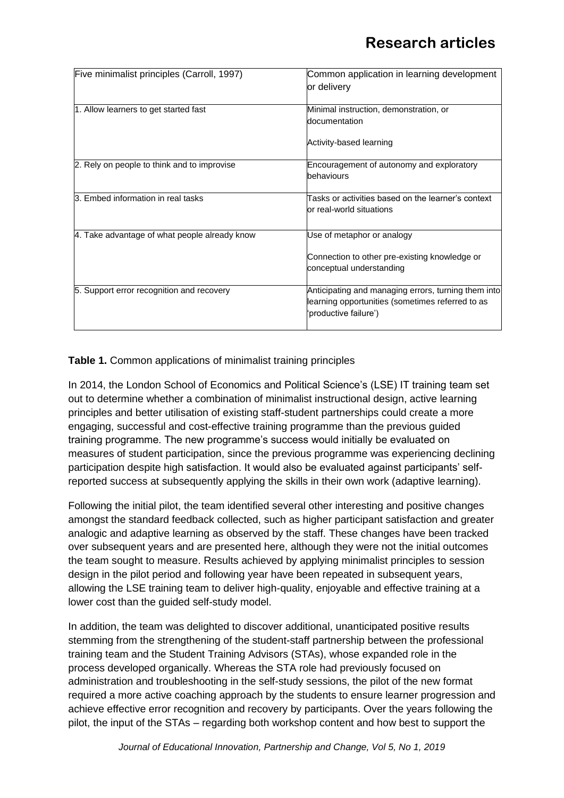| Five minimalist principles (Carroll, 1997)    | Common application in learning development<br>lor deliverv                                                                       |  |  |
|-----------------------------------------------|----------------------------------------------------------------------------------------------------------------------------------|--|--|
|                                               |                                                                                                                                  |  |  |
| 1. Allow learners to get started fast         | Minimal instruction, demonstration, or<br>documentation                                                                          |  |  |
|                                               | Activity-based learning                                                                                                          |  |  |
| 2. Rely on people to think and to improvise   | Encouragement of autonomy and exploratory<br>behaviours                                                                          |  |  |
| 3. Embed information in real tasks            | Tasks or activities based on the learner's context<br>or real-world situations                                                   |  |  |
| 4. Take advantage of what people already know | Use of metaphor or analogy                                                                                                       |  |  |
|                                               | Connection to other pre-existing knowledge or<br>conceptual understanding                                                        |  |  |
| 5. Support error recognition and recovery     | Anticipating and managing errors, turning them into<br>learning opportunities (sometimes referred to as<br>'productive failure') |  |  |

**Table 1.** Common applications of minimalist training principles

In 2014, the London School of Economics and Political Science's (LSE) IT training team set out to determine whether a combination of minimalist instructional design, active learning principles and better utilisation of existing staff-student partnerships could create a more engaging, successful and cost-effective training programme than the previous guided training programme. The new programme's success would initially be evaluated on measures of student participation, since the previous programme was experiencing declining participation despite high satisfaction. It would also be evaluated against participants' selfreported success at subsequently applying the skills in their own work (adaptive learning).

Following the initial pilot, the team identified several other interesting and positive changes amongst the standard feedback collected, such as higher participant satisfaction and greater analogic and adaptive learning as observed by the staff. These changes have been tracked over subsequent years and are presented here, although they were not the initial outcomes the team sought to measure. Results achieved by applying minimalist principles to session design in the pilot period and following year have been repeated in subsequent years, allowing the LSE training team to deliver high-quality, enjoyable and effective training at a lower cost than the guided self-study model.

In addition, the team was delighted to discover additional, unanticipated positive results stemming from the strengthening of the student-staff partnership between the professional training team and the Student Training Advisors (STAs), whose expanded role in the process developed organically. Whereas the STA role had previously focused on administration and troubleshooting in the self-study sessions, the pilot of the new format required a more active coaching approach by the students to ensure learner progression and achieve effective error recognition and recovery by participants. Over the years following the pilot, the input of the STAs – regarding both workshop content and how best to support the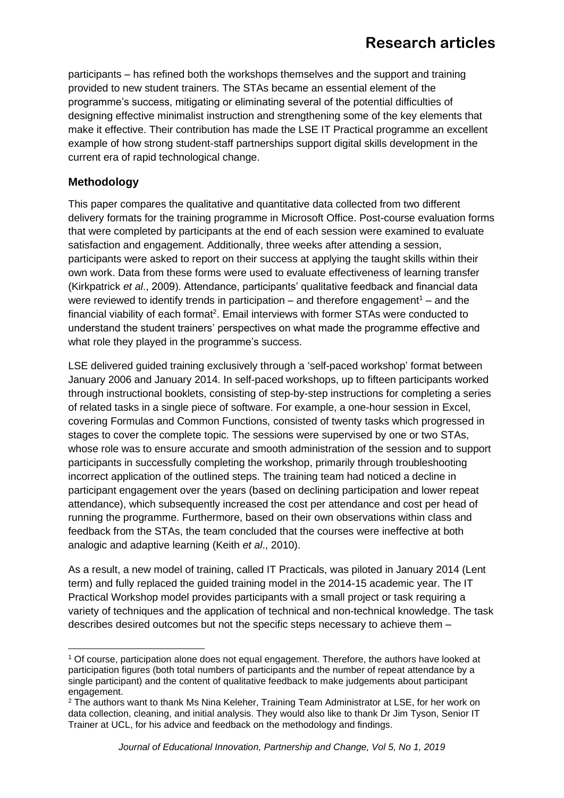participants – has refined both the workshops themselves and the support and training provided to new student trainers. The STAs became an essential element of the programme's success, mitigating or eliminating several of the potential difficulties of designing effective minimalist instruction and strengthening some of the key elements that make it effective. Their contribution has made the LSE IT Practical programme an excellent example of how strong student-staff partnerships support digital skills development in the current era of rapid technological change.

### **Methodology**

This paper compares the qualitative and quantitative data collected from two different delivery formats for the training programme in Microsoft Office. Post-course evaluation forms that were completed by participants at the end of each session were examined to evaluate satisfaction and engagement. Additionally, three weeks after attending a session, participants were asked to report on their success at applying the taught skills within their own work. Data from these forms were used to evaluate effectiveness of learning transfer (Kirkpatrick *et al*., 2009). Attendance, participants' qualitative feedback and financial data were reviewed to identify trends in participation – and therefore engagement<sup>1</sup> – and the financial viability of each format<sup>2</sup>. Email interviews with former STAs were conducted to understand the student trainers' perspectives on what made the programme effective and what role they played in the programme's success.

LSE delivered guided training exclusively through a 'self-paced workshop' format between January 2006 and January 2014. In self-paced workshops, up to fifteen participants worked through instructional booklets, consisting of step-by-step instructions for completing a series of related tasks in a single piece of software. For example, a one-hour session in Excel, covering Formulas and Common Functions, consisted of twenty tasks which progressed in stages to cover the complete topic. The sessions were supervised by one or two STAs, whose role was to ensure accurate and smooth administration of the session and to support participants in successfully completing the workshop, primarily through troubleshooting incorrect application of the outlined steps. The training team had noticed a decline in participant engagement over the years (based on declining participation and lower repeat attendance), which subsequently increased the cost per attendance and cost per head of running the programme. Furthermore, based on their own observations within class and feedback from the STAs, the team concluded that the courses were ineffective at both analogic and adaptive learning (Keith *et al*., 2010).

As a result, a new model of training, called IT Practicals, was piloted in January 2014 (Lent term) and fully replaced the guided training model in the 2014-15 academic year. The IT Practical Workshop model provides participants with a small project or task requiring a variety of techniques and the application of technical and non-technical knowledge. The task describes desired outcomes but not the specific steps necessary to achieve them –

<sup>1</sup> Of course, participation alone does not equal engagement. Therefore, the authors have looked at participation figures (both total numbers of participants and the number of repeat attendance by a single participant) and the content of qualitative feedback to make judgements about participant engagement.

<sup>2</sup> The authors want to thank Ms Nina Keleher, Training Team Administrator at LSE, for her work on data collection, cleaning, and initial analysis. They would also like to thank Dr Jim Tyson, Senior IT Trainer at UCL, for his advice and feedback on the methodology and findings.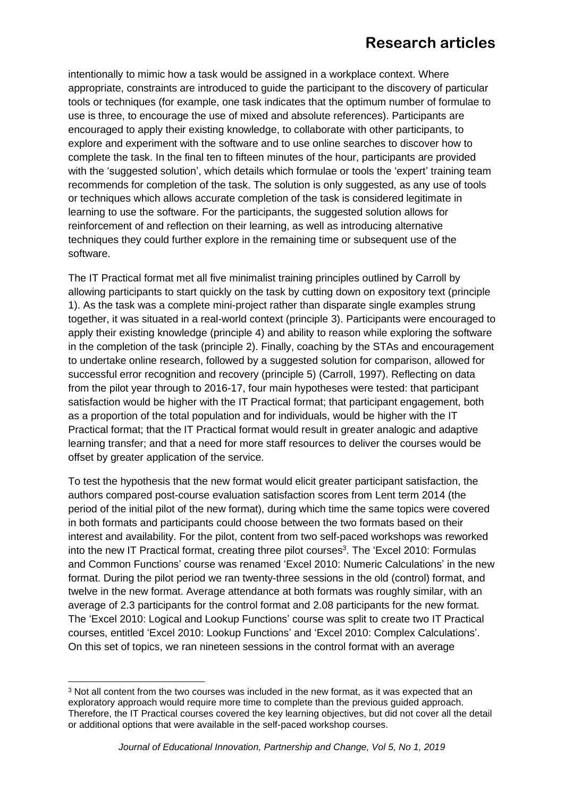intentionally to mimic how a task would be assigned in a workplace context. Where appropriate, constraints are introduced to guide the participant to the discovery of particular tools or techniques (for example, one task indicates that the optimum number of formulae to use is three, to encourage the use of mixed and absolute references). Participants are encouraged to apply their existing knowledge, to collaborate with other participants, to explore and experiment with the software and to use online searches to discover how to complete the task. In the final ten to fifteen minutes of the hour, participants are provided with the 'suggested solution', which details which formulae or tools the 'expert' training team recommends for completion of the task. The solution is only suggested, as any use of tools or techniques which allows accurate completion of the task is considered legitimate in learning to use the software. For the participants, the suggested solution allows for reinforcement of and reflection on their learning, as well as introducing alternative techniques they could further explore in the remaining time or subsequent use of the software.

The IT Practical format met all five minimalist training principles outlined by Carroll by allowing participants to start quickly on the task by cutting down on expository text (principle 1). As the task was a complete mini-project rather than disparate single examples strung together, it was situated in a real-world context (principle 3). Participants were encouraged to apply their existing knowledge (principle 4) and ability to reason while exploring the software in the completion of the task (principle 2). Finally, coaching by the STAs and encouragement to undertake online research, followed by a suggested solution for comparison, allowed for successful error recognition and recovery (principle 5) (Carroll, 1997). Reflecting on data from the pilot year through to 2016-17, four main hypotheses were tested: that participant satisfaction would be higher with the IT Practical format; that participant engagement, both as a proportion of the total population and for individuals, would be higher with the IT Practical format; that the IT Practical format would result in greater analogic and adaptive learning transfer; and that a need for more staff resources to deliver the courses would be offset by greater application of the service.

To test the hypothesis that the new format would elicit greater participant satisfaction, the authors compared post-course evaluation satisfaction scores from Lent term 2014 (the period of the initial pilot of the new format), during which time the same topics were covered in both formats and participants could choose between the two formats based on their interest and availability. For the pilot, content from two self-paced workshops was reworked into the new IT Practical format, creating three pilot courses<sup>3</sup>. The 'Excel 2010: Formulas and Common Functions' course was renamed 'Excel 2010: Numeric Calculations' in the new format. During the pilot period we ran twenty-three sessions in the old (control) format, and twelve in the new format. Average attendance at both formats was roughly similar, with an average of 2.3 participants for the control format and 2.08 participants for the new format. The 'Excel 2010: Logical and Lookup Functions' course was split to create two IT Practical courses, entitled 'Excel 2010: Lookup Functions' and 'Excel 2010: Complex Calculations'. On this set of topics, we ran nineteen sessions in the control format with an average

<sup>3</sup> Not all content from the two courses was included in the new format, as it was expected that an exploratory approach would require more time to complete than the previous guided approach. Therefore, the IT Practical courses covered the key learning objectives, but did not cover all the detail or additional options that were available in the self-paced workshop courses.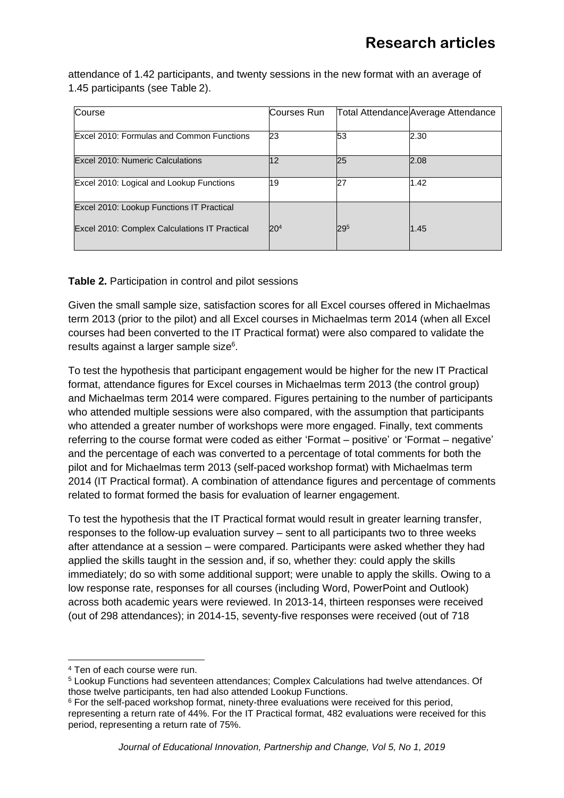attendance of 1.42 participants, and twenty sessions in the new format with an average of 1.45 participants (see Table 2).

| Course                                        | Courses Run     |     | Total Attendance Average Attendance |
|-----------------------------------------------|-----------------|-----|-------------------------------------|
|                                               |                 |     |                                     |
| Excel 2010: Formulas and Common Functions     | 23              | 53  | 2.30                                |
|                                               |                 |     |                                     |
| Excel 2010: Numeric Calculations              | 12              | 25  | 2.08                                |
|                                               |                 |     |                                     |
| Excel 2010: Logical and Lookup Functions      | 19              | 27  | 1.42                                |
|                                               |                 |     |                                     |
| Excel 2010: Lookup Functions IT Practical     |                 |     |                                     |
|                                               |                 |     |                                     |
| Excel 2010: Complex Calculations IT Practical | 20 <sup>4</sup> | 295 | 1.45                                |
|                                               |                 |     |                                     |

#### **Table 2.** Participation in control and pilot sessions

Given the small sample size, satisfaction scores for all Excel courses offered in Michaelmas term 2013 (prior to the pilot) and all Excel courses in Michaelmas term 2014 (when all Excel courses had been converted to the IT Practical format) were also compared to validate the results against a larger sample size<sup>6</sup>.

To test the hypothesis that participant engagement would be higher for the new IT Practical format, attendance figures for Excel courses in Michaelmas term 2013 (the control group) and Michaelmas term 2014 were compared. Figures pertaining to the number of participants who attended multiple sessions were also compared, with the assumption that participants who attended a greater number of workshops were more engaged. Finally, text comments referring to the course format were coded as either 'Format – positive' or 'Format – negative' and the percentage of each was converted to a percentage of total comments for both the pilot and for Michaelmas term 2013 (self-paced workshop format) with Michaelmas term 2014 (IT Practical format). A combination of attendance figures and percentage of comments related to format formed the basis for evaluation of learner engagement.

To test the hypothesis that the IT Practical format would result in greater learning transfer, responses to the follow-up evaluation survey – sent to all participants two to three weeks after attendance at a session – were compared. Participants were asked whether they had applied the skills taught in the session and, if so, whether they: could apply the skills immediately; do so with some additional support; were unable to apply the skills. Owing to a low response rate, responses for all courses (including Word, PowerPoint and Outlook) across both academic years were reviewed. In 2013-14, thirteen responses were received (out of 298 attendances); in 2014-15, seventy-five responses were received (out of 718

<sup>4</sup> Ten of each course were run.

<sup>5</sup> Lookup Functions had seventeen attendances; Complex Calculations had twelve attendances. Of those twelve participants, ten had also attended Lookup Functions.

 $6$  For the self-paced workshop format, ninety-three evaluations were received for this period, representing a return rate of 44%. For the IT Practical format, 482 evaluations were received for this period, representing a return rate of 75%.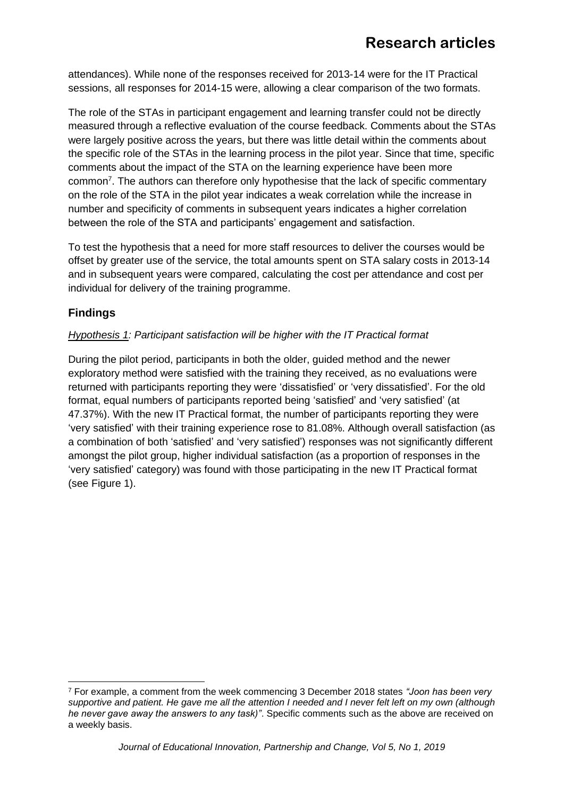attendances). While none of the responses received for 2013-14 were for the IT Practical sessions, all responses for 2014-15 were, allowing a clear comparison of the two formats.

The role of the STAs in participant engagement and learning transfer could not be directly measured through a reflective evaluation of the course feedback. Comments about the STAs were largely positive across the years, but there was little detail within the comments about the specific role of the STAs in the learning process in the pilot year. Since that time, specific comments about the impact of the STA on the learning experience have been more common<sup>7</sup>. The authors can therefore only hypothesise that the lack of specific commentary on the role of the STA in the pilot year indicates a weak correlation while the increase in number and specificity of comments in subsequent years indicates a higher correlation between the role of the STA and participants' engagement and satisfaction.

To test the hypothesis that a need for more staff resources to deliver the courses would be offset by greater use of the service, the total amounts spent on STA salary costs in 2013-14 and in subsequent years were compared, calculating the cost per attendance and cost per individual for delivery of the training programme.

## **Findings**

#### *Hypothesis 1: Participant satisfaction will be higher with the IT Practical format*

During the pilot period, participants in both the older, guided method and the newer exploratory method were satisfied with the training they received, as no evaluations were returned with participants reporting they were 'dissatisfied' or 'very dissatisfied'. For the old format, equal numbers of participants reported being 'satisfied' and 'very satisfied' (at 47.37%). With the new IT Practical format, the number of participants reporting they were 'very satisfied' with their training experience rose to 81.08%. Although overall satisfaction (as a combination of both 'satisfied' and 'very satisfied') responses was not significantly different amongst the pilot group, higher individual satisfaction (as a proportion of responses in the 'very satisfied' category) was found with those participating in the new IT Practical format (see Figure 1).

<sup>7</sup> For example, a comment from the week commencing 3 December 2018 states *"Joon has been very supportive and patient. He gave me all the attention I needed and I never felt left on my own (although he never gave away the answers to any task)"*. Specific comments such as the above are received on a weekly basis.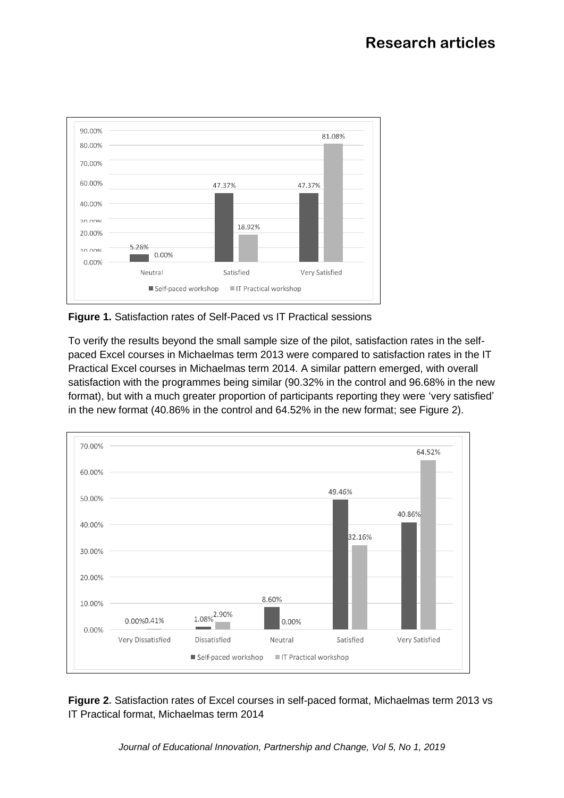

**Figure 1.** Satisfaction rates of Self-Paced vs IT Practical sessions

To verify the results beyond the small sample size of the pilot, satisfaction rates in the selfpaced Excel courses in Michaelmas term 2013 were compared to satisfaction rates in the IT Practical Excel courses in Michaelmas term 2014. A similar pattern emerged, with overall satisfaction with the programmes being similar (90.32% in the control and 96.68% in the new format), but with a much greater proportion of participants reporting they were 'very satisfied' in the new format (40.86% in the control and 64.52% in the new format; see Figure 2).



**Figure 2.** Satisfaction rates of Excel courses in self-paced format, Michaelmas term 2013 vs IT Practical format, Michaelmas term 2014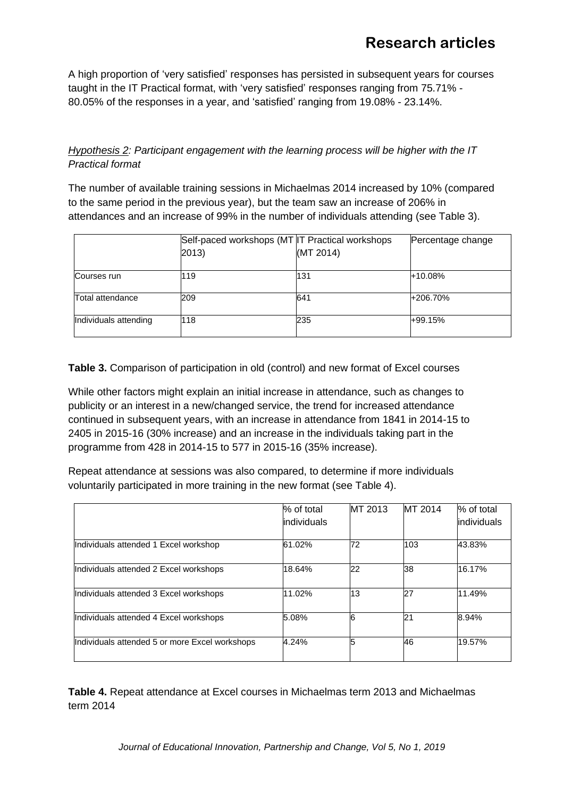A high proportion of 'very satisfied' responses has persisted in subsequent years for courses taught in the IT Practical format, with 'very satisfied' responses ranging from 75.71% - 80.05% of the responses in a year, and 'satisfied' ranging from 19.08% - 23.14%.

#### *Hypothesis 2: Participant engagement with the learning process will be higher with the IT Practical format*

The number of available training sessions in Michaelmas 2014 increased by 10% (compared to the same period in the previous year), but the team saw an increase of 206% in attendances and an increase of 99% in the number of individuals attending (see Table 3).

|                       | Self-paced workshops (MT IT Practical workshops<br>2013) | (MT 2014) | Percentage change |
|-----------------------|----------------------------------------------------------|-----------|-------------------|
| Courses run           | 119                                                      | 131       | $+10.08%$         |
| Total attendance      | 209                                                      | 641       | +206.70%          |
| Individuals attending | 118                                                      | 235       | +99.15%           |

**Table 3.** Comparison of participation in old (control) and new format of Excel courses

While other factors might explain an initial increase in attendance, such as changes to publicity or an interest in a new/changed service, the trend for increased attendance continued in subsequent years, with an increase in attendance from 1841 in 2014-15 to 2405 in 2015-16 (30% increase) and an increase in the individuals taking part in the programme from 428 in 2014-15 to 577 in 2015-16 (35% increase).

Repeat attendance at sessions was also compared, to determine if more individuals voluntarily participated in more training in the new format (see Table 4).

|                                                | % of total<br>lindividuals | MT 2013 | MT 2014 | % of total<br><i>individuals</i> |
|------------------------------------------------|----------------------------|---------|---------|----------------------------------|
|                                                |                            |         |         |                                  |
| Individuals attended 1 Excel workshop          | 61.02%                     | 72      | 103     | 43.83%                           |
| Individuals attended 2 Excel workshops         | 18.64%                     | 22      | 38      | 16.17%                           |
| Individuals attended 3 Excel workshops         | 11.02%                     | 13      | 27      | 11.49%                           |
| Individuals attended 4 Excel workshops         | 5.08%                      |         | 21      | 8.94%                            |
| Individuals attended 5 or more Excel workshops | 4.24%                      |         | 46      | 19.57%                           |

**Table 4.** Repeat attendance at Excel courses in Michaelmas term 2013 and Michaelmas term 2014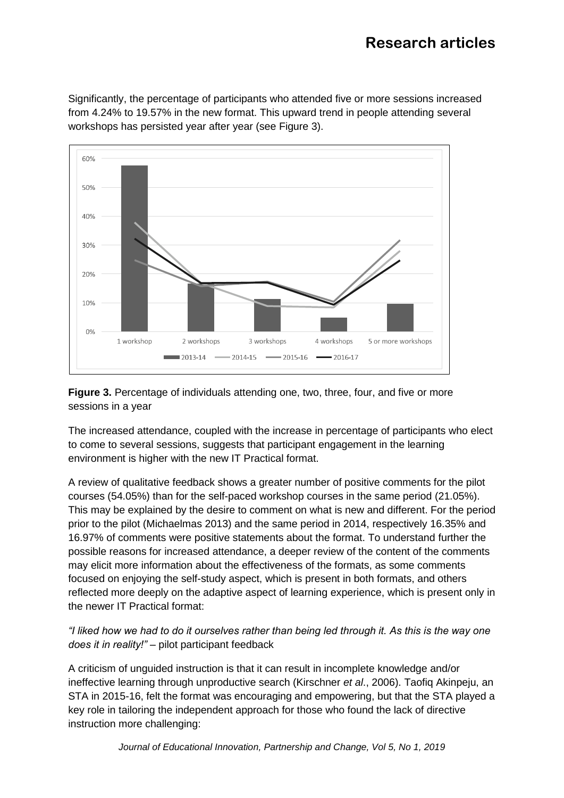Significantly, the percentage of participants who attended five or more sessions increased from 4.24% to 19.57% in the new format. This upward trend in people attending several workshops has persisted year after year (see Figure 3).



**Figure 3.** Percentage of individuals attending one, two, three, four, and five or more sessions in a year

The increased attendance, coupled with the increase in percentage of participants who elect to come to several sessions, suggests that participant engagement in the learning environment is higher with the new IT Practical format.

A review of qualitative feedback shows a greater number of positive comments for the pilot courses (54.05%) than for the self-paced workshop courses in the same period (21.05%). This may be explained by the desire to comment on what is new and different. For the period prior to the pilot (Michaelmas 2013) and the same period in 2014, respectively 16.35% and 16.97% of comments were positive statements about the format. To understand further the possible reasons for increased attendance, a deeper review of the content of the comments may elicit more information about the effectiveness of the formats, as some comments focused on enjoying the self-study aspect, which is present in both formats, and others reflected more deeply on the adaptive aspect of learning experience, which is present only in the newer IT Practical format:

*"I liked how we had to do it ourselves rather than being led through it. As this is the way one does it in reality!"* – pilot participant feedback

A criticism of unguided instruction is that it can result in incomplete knowledge and/or ineffective learning through unproductive search (Kirschner *et al*., 2006). Taofiq Akinpeju, an STA in 2015-16, felt the format was encouraging and empowering, but that the STA played a key role in tailoring the independent approach for those who found the lack of directive instruction more challenging: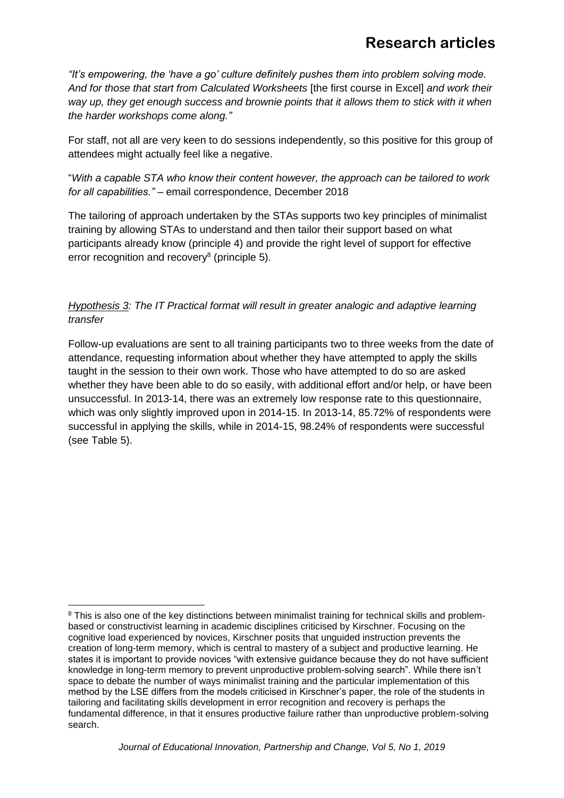*"It's empowering, the 'have a go' culture definitely pushes them into problem solving mode. And for those that start from Calculated Worksheets* [the first course in Excel] *and work their way up, they get enough success and brownie points that it allows them to stick with it when the harder workshops come along."*

For staff, not all are very keen to do sessions independently, so this positive for this group of attendees might actually feel like a negative.

"*With a capable STA who know their content however, the approach can be tailored to work for all capabilities."* – email correspondence, December 2018

The tailoring of approach undertaken by the STAs supports two key principles of minimalist training by allowing STAs to understand and then tailor their support based on what participants already know (principle 4) and provide the right level of support for effective error recognition and recovery<sup>8</sup> (principle 5).

*Hypothesis 3: The IT Practical format will result in greater analogic and adaptive learning transfer*

Follow-up evaluations are sent to all training participants two to three weeks from the date of attendance, requesting information about whether they have attempted to apply the skills taught in the session to their own work. Those who have attempted to do so are asked whether they have been able to do so easily, with additional effort and/or help, or have been unsuccessful. In 2013-14, there was an extremely low response rate to this questionnaire, which was only slightly improved upon in 2014-15. In 2013-14, 85.72% of respondents were successful in applying the skills, while in 2014-15, 98.24% of respondents were successful (see Table 5).

<sup>&</sup>lt;sup>8</sup> This is also one of the key distinctions between minimalist training for technical skills and problembased or constructivist learning in academic disciplines criticised by Kirschner. Focusing on the cognitive load experienced by novices, Kirschner posits that unguided instruction prevents the creation of long-term memory, which is central to mastery of a subject and productive learning. He states it is important to provide novices "with extensive guidance because they do not have sufficient knowledge in long-term memory to prevent unproductive problem-solving search". While there isn't space to debate the number of ways minimalist training and the particular implementation of this method by the LSE differs from the models criticised in Kirschner's paper, the role of the students in tailoring and facilitating skills development in error recognition and recovery is perhaps the fundamental difference, in that it ensures productive failure rather than unproductive problem-solving search.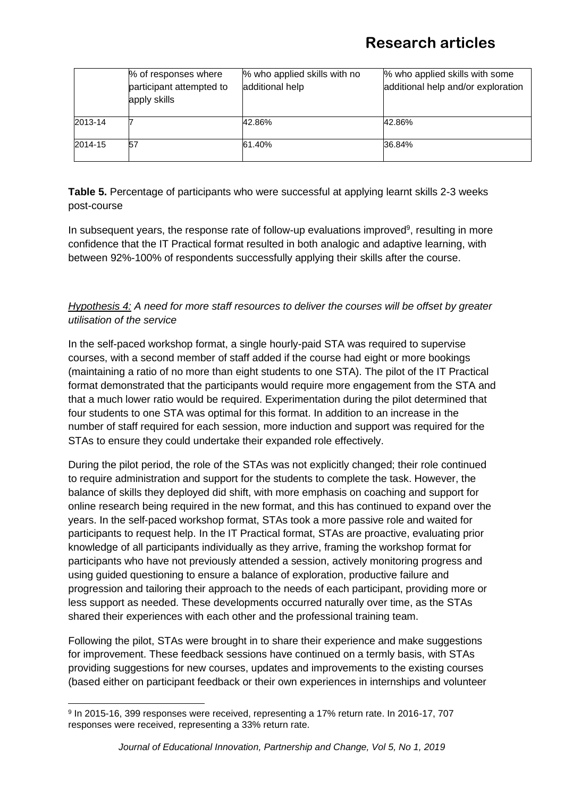|         | % of responses where                     | % who applied skills with no | % who applied skills with some     |
|---------|------------------------------------------|------------------------------|------------------------------------|
|         | participant attempted to<br>apply skills | additional help              | additional help and/or exploration |
| 2013-14 |                                          | 42.86%                       | 42.86%                             |
| 2014-15 | 57                                       | 61.40%                       | 36.84%                             |

**Table 5.** Percentage of participants who were successful at applying learnt skills 2-3 weeks post-course

In subsequent years, the response rate of follow-up evaluations improved<sup>9</sup>, resulting in more confidence that the IT Practical format resulted in both analogic and adaptive learning, with between 92%-100% of respondents successfully applying their skills after the course.

*Hypothesis 4: A need for more staff resources to deliver the courses will be offset by greater utilisation of the service*

In the self-paced workshop format, a single hourly-paid STA was required to supervise courses, with a second member of staff added if the course had eight or more bookings (maintaining a ratio of no more than eight students to one STA). The pilot of the IT Practical format demonstrated that the participants would require more engagement from the STA and that a much lower ratio would be required. Experimentation during the pilot determined that four students to one STA was optimal for this format. In addition to an increase in the number of staff required for each session, more induction and support was required for the STAs to ensure they could undertake their expanded role effectively.

During the pilot period, the role of the STAs was not explicitly changed; their role continued to require administration and support for the students to complete the task. However, the balance of skills they deployed did shift, with more emphasis on coaching and support for online research being required in the new format, and this has continued to expand over the years. In the self-paced workshop format, STAs took a more passive role and waited for participants to request help. In the IT Practical format, STAs are proactive, evaluating prior knowledge of all participants individually as they arrive, framing the workshop format for participants who have not previously attended a session, actively monitoring progress and using guided questioning to ensure a balance of exploration, productive failure and progression and tailoring their approach to the needs of each participant, providing more or less support as needed. These developments occurred naturally over time, as the STAs shared their experiences with each other and the professional training team.

Following the pilot, STAs were brought in to share their experience and make suggestions for improvement. These feedback sessions have continued on a termly basis, with STAs providing suggestions for new courses, updates and improvements to the existing courses (based either on participant feedback or their own experiences in internships and volunteer

<sup>9</sup> In 2015-16, 399 responses were received, representing a 17% return rate. In 2016-17, 707 responses were received, representing a 33% return rate.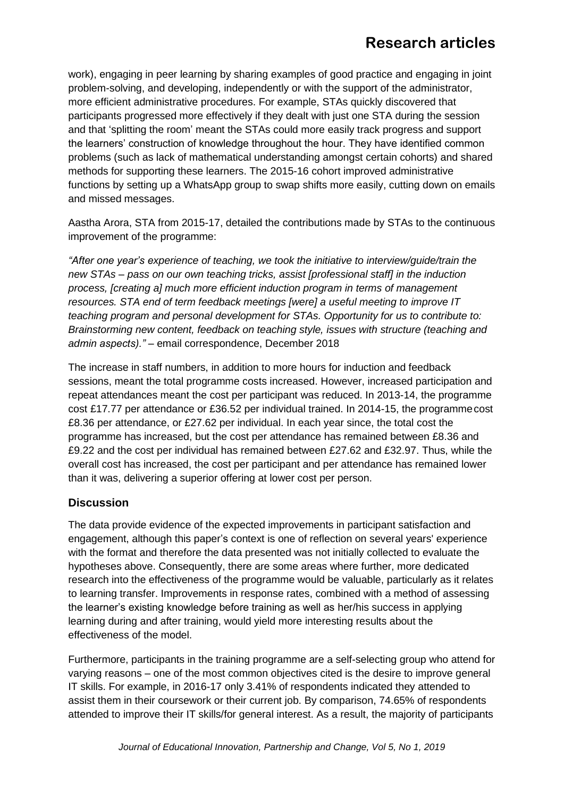work), engaging in peer learning by sharing examples of good practice and engaging in joint problem-solving, and developing, independently or with the support of the administrator, more efficient administrative procedures. For example, STAs quickly discovered that participants progressed more effectively if they dealt with just one STA during the session and that 'splitting the room' meant the STAs could more easily track progress and support the learners' construction of knowledge throughout the hour. They have identified common problems (such as lack of mathematical understanding amongst certain cohorts) and shared methods for supporting these learners. The 2015-16 cohort improved administrative functions by setting up a WhatsApp group to swap shifts more easily, cutting down on emails and missed messages.

Aastha Arora, STA from 2015-17, detailed the contributions made by STAs to the continuous improvement of the programme:

*"After one year's experience of teaching, we took the initiative to interview/guide/train the new STAs – pass on our own teaching tricks, assist [professional staff] in the induction process, [creating a] much more efficient induction program in terms of management resources. STA end of term feedback meetings [were] a useful meeting to improve IT teaching program and personal development for STAs. Opportunity for us to contribute to: Brainstorming new content, feedback on teaching style, issues with structure (teaching and admin aspects)."* – email correspondence, December 2018

The increase in staff numbers, in addition to more hours for induction and feedback sessions, meant the total programme costs increased. However, increased participation and repeat attendances meant the cost per participant was reduced. In 2013-14, the programme cost £17.77 per attendance or £36.52 per individual trained. In 2014-15, the programmecost £8.36 per attendance, or £27.62 per individual. In each year since, the total cost the programme has increased, but the cost per attendance has remained between £8.36 and £9.22 and the cost per individual has remained between £27.62 and £32.97. Thus, while the overall cost has increased, the cost per participant and per attendance has remained lower than it was, delivering a superior offering at lower cost per person.

#### **Discussion**

The data provide evidence of the expected improvements in participant satisfaction and engagement, although this paper's context is one of reflection on several years' experience with the format and therefore the data presented was not initially collected to evaluate the hypotheses above. Consequently, there are some areas where further, more dedicated research into the effectiveness of the programme would be valuable, particularly as it relates to learning transfer. Improvements in response rates, combined with a method of assessing the learner's existing knowledge before training as well as her/his success in applying learning during and after training, would yield more interesting results about the effectiveness of the model.

Furthermore, participants in the training programme are a self-selecting group who attend for varying reasons – one of the most common objectives cited is the desire to improve general IT skills. For example, in 2016-17 only 3.41% of respondents indicated they attended to assist them in their coursework or their current job. By comparison, 74.65% of respondents attended to improve their IT skills/for general interest. As a result, the majority of participants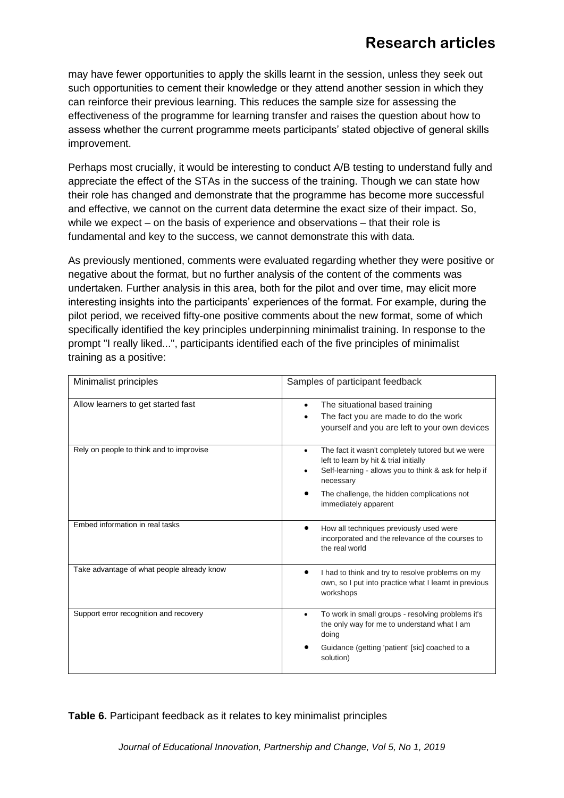may have fewer opportunities to apply the skills learnt in the session, unless they seek out such opportunities to cement their knowledge or they attend another session in which they can reinforce their previous learning. This reduces the sample size for assessing the effectiveness of the programme for learning transfer and raises the question about how to assess whether the current programme meets participants' stated objective of general skills improvement.

Perhaps most crucially, it would be interesting to conduct A/B testing to understand fully and appreciate the effect of the STAs in the success of the training. Though we can state how their role has changed and demonstrate that the programme has become more successful and effective, we cannot on the current data determine the exact size of their impact. So, while we expect – on the basis of experience and observations – that their role is fundamental and key to the success, we cannot demonstrate this with data.

As previously mentioned, comments were evaluated regarding whether they were positive or negative about the format, but no further analysis of the content of the comments was undertaken. Further analysis in this area, both for the pilot and over time, may elicit more interesting insights into the participants' experiences of the format. For example, during the pilot period, we received fifty-one positive comments about the new format, some of which specifically identified the key principles underpinning minimalist training. In response to the prompt "I really liked...", participants identified each of the five principles of minimalist training as a positive:

| Minimalist principles                      | Samples of participant feedback                                                                                                                                                                                                                            |  |  |
|--------------------------------------------|------------------------------------------------------------------------------------------------------------------------------------------------------------------------------------------------------------------------------------------------------------|--|--|
| Allow learners to get started fast         | The situational based training<br>$\bullet$<br>The fact you are made to do the work<br>yourself and you are left to your own devices                                                                                                                       |  |  |
| Rely on people to think and to improvise   | The fact it wasn't completely tutored but we were<br>$\bullet$<br>left to learn by hit & trial initially<br>Self-learning - allows you to think & ask for help if<br>٠<br>necessary<br>The challenge, the hidden complications not<br>immediately apparent |  |  |
| Embed information in real tasks            | How all techniques previously used were<br>incorporated and the relevance of the courses to<br>the real world                                                                                                                                              |  |  |
| Take advantage of what people already know | I had to think and try to resolve problems on my<br>own, so I put into practice what I learnt in previous<br>workshops                                                                                                                                     |  |  |
| Support error recognition and recovery     | To work in small groups - resolving problems it's<br>$\bullet$<br>the only way for me to understand what I am<br>doing<br>Guidance (getting 'patient' [sic] coached to a<br>solution)                                                                      |  |  |

**Table 6.** Participant feedback as it relates to key minimalist principles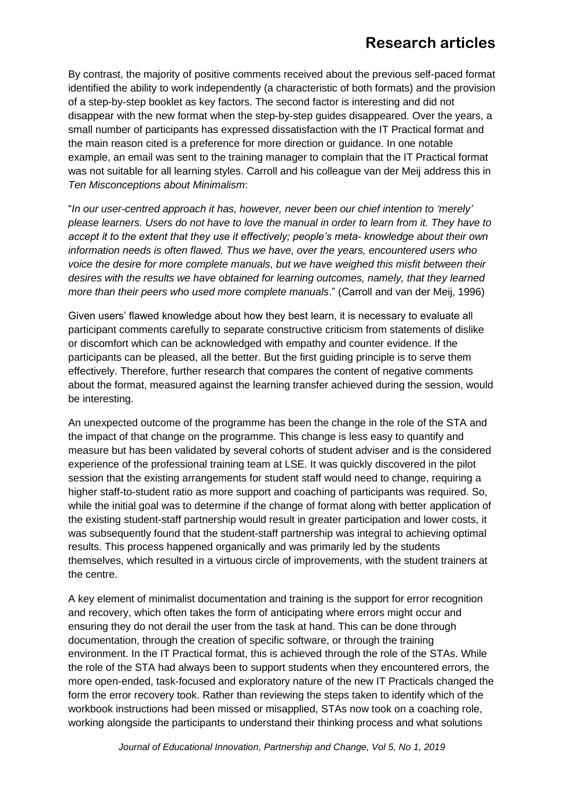By contrast, the majority of positive comments received about the previous self-paced format identified the ability to work independently (a characteristic of both formats) and the provision of a step-by-step booklet as key factors. The second factor is interesting and did not disappear with the new format when the step-by-step guides disappeared. Over the years, a small number of participants has expressed dissatisfaction with the IT Practical format and the main reason cited is a preference for more direction or guidance. In one notable example, an email was sent to the training manager to complain that the IT Practical format was not suitable for all learning styles. Carroll and his colleague van der Meij address this in *Ten Misconceptions about Minimalism*:

"*In our user-centred approach it has, however, never been our chief intention to 'merely' please learners. Users do not have to love the manual in order to learn from it. They have to accept it to the extent that they use it effectively; people's meta- knowledge about their own information needs is often flawed. Thus we have, over the years, encountered users who voice the desire for more complete manuals, but we have weighed this misfit between their desires with the results we have obtained for learning outcomes, namely, that they learned more than their peers who used more complete manuals*." (Carroll and van der Meij, 1996)

Given users' flawed knowledge about how they best learn, it is necessary to evaluate all participant comments carefully to separate constructive criticism from statements of dislike or discomfort which can be acknowledged with empathy and counter evidence. If the participants can be pleased, all the better. But the first guiding principle is to serve them effectively. Therefore, further research that compares the content of negative comments about the format, measured against the learning transfer achieved during the session, would be interesting.

An unexpected outcome of the programme has been the change in the role of the STA and the impact of that change on the programme. This change is less easy to quantify and measure but has been validated by several cohorts of student adviser and is the considered experience of the professional training team at LSE. It was quickly discovered in the pilot session that the existing arrangements for student staff would need to change, requiring a higher staff-to-student ratio as more support and coaching of participants was required. So, while the initial goal was to determine if the change of format along with better application of the existing student-staff partnership would result in greater participation and lower costs, it was subsequently found that the student-staff partnership was integral to achieving optimal results. This process happened organically and was primarily led by the students themselves, which resulted in a virtuous circle of improvements, with the student trainers at the centre.

A key element of minimalist documentation and training is the support for error recognition and recovery, which often takes the form of anticipating where errors might occur and ensuring they do not derail the user from the task at hand. This can be done through documentation, through the creation of specific software, or through the training environment. In the IT Practical format, this is achieved through the role of the STAs. While the role of the STA had always been to support students when they encountered errors, the more open-ended, task-focused and exploratory nature of the new IT Practicals changed the form the error recovery took. Rather than reviewing the steps taken to identify which of the workbook instructions had been missed or misapplied, STAs now took on a coaching role, working alongside the participants to understand their thinking process and what solutions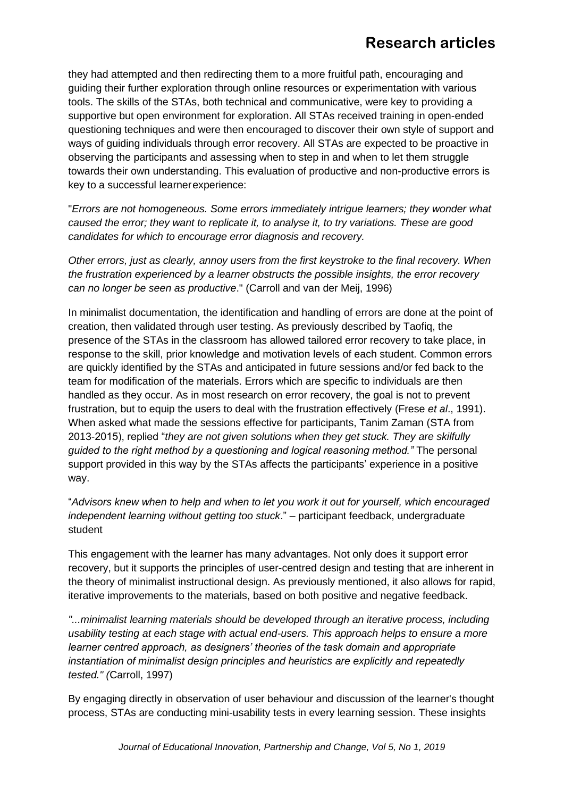they had attempted and then redirecting them to a more fruitful path, encouraging and guiding their further exploration through online resources or experimentation with various tools. The skills of the STAs, both technical and communicative, were key to providing a supportive but open environment for exploration. All STAs received training in open-ended questioning techniques and were then encouraged to discover their own style of support and ways of guiding individuals through error recovery. All STAs are expected to be proactive in observing the participants and assessing when to step in and when to let them struggle towards their own understanding. This evaluation of productive and non-productive errors is key to a successful learnerexperience:

"*Errors are not homogeneous. Some errors immediately intrigue learners; they wonder what caused the error; they want to replicate it, to analyse it, to try variations. These are good candidates for which to encourage error diagnosis and recovery.*

*Other errors, just as clearly, annoy users from the first keystroke to the final recovery. When the frustration experienced by a learner obstructs the possible insights, the error recovery can no longer be seen as productive*." (Carroll and van der Meij, 1996)

In minimalist documentation, the identification and handling of errors are done at the point of creation, then validated through user testing. As previously described by Taofiq, the presence of the STAs in the classroom has allowed tailored error recovery to take place, in response to the skill, prior knowledge and motivation levels of each student. Common errors are quickly identified by the STAs and anticipated in future sessions and/or fed back to the team for modification of the materials. Errors which are specific to individuals are then handled as they occur. As in most research on error recovery, the goal is not to prevent frustration, but to equip the users to deal with the frustration effectively (Frese *et al*., 1991). When asked what made the sessions effective for participants, Tanim Zaman (STA from 2013-2015), replied "*they are not given solutions when they get stuck. They are skilfully guided to the right method by a questioning and logical reasoning method."* The personal support provided in this way by the STAs affects the participants' experience in a positive way.

"*Advisors knew when to help and when to let you work it out for yourself, which encouraged independent learning without getting too stuck*." – participant feedback, undergraduate student

This engagement with the learner has many advantages. Not only does it support error recovery, but it supports the principles of user-centred design and testing that are inherent in the theory of minimalist instructional design. As previously mentioned, it also allows for rapid, iterative improvements to the materials, based on both positive and negative feedback.

*"...minimalist learning materials should be developed through an iterative process, including usability testing at each stage with actual end-users. This approach helps to ensure a more learner centred approach, as designers' theories of the task domain and appropriate instantiation of minimalist design principles and heuristics are explicitly and repeatedly tested." (*Carroll, 1997)

By engaging directly in observation of user behaviour and discussion of the learner's thought process, STAs are conducting mini-usability tests in every learning session. These insights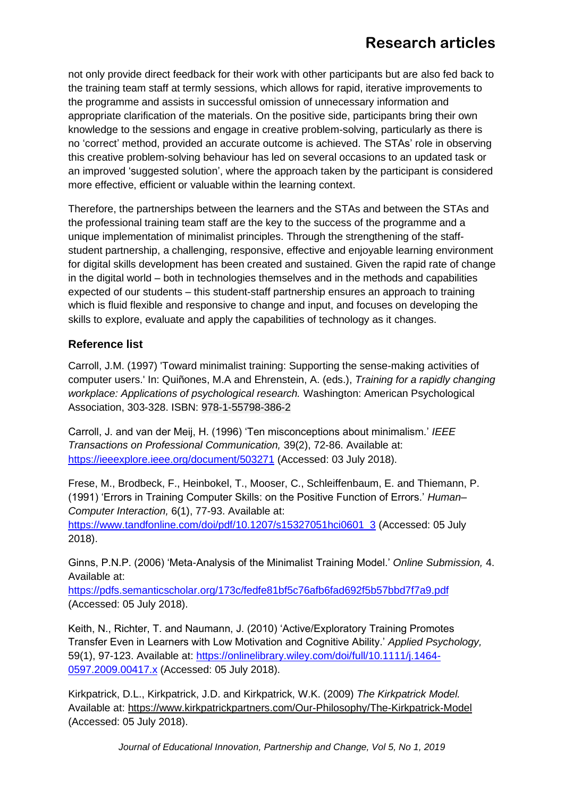not only provide direct feedback for their work with other participants but are also fed back to the training team staff at termly sessions, which allows for rapid, iterative improvements to the programme and assists in successful omission of unnecessary information and appropriate clarification of the materials. On the positive side, participants bring their own knowledge to the sessions and engage in creative problem-solving, particularly as there is no 'correct' method, provided an accurate outcome is achieved. The STAs' role in observing this creative problem-solving behaviour has led on several occasions to an updated task or an improved 'suggested solution', where the approach taken by the participant is considered more effective, efficient or valuable within the learning context.

Therefore, the partnerships between the learners and the STAs and between the STAs and the professional training team staff are the key to the success of the programme and a unique implementation of minimalist principles. Through the strengthening of the staffstudent partnership, a challenging, responsive, effective and enjoyable learning environment for digital skills development has been created and sustained. Given the rapid rate of change in the digital world – both in technologies themselves and in the methods and capabilities expected of our students – this student-staff partnership ensures an approach to training which is fluid flexible and responsive to change and input, and focuses on developing the skills to explore, evaluate and apply the capabilities of technology as it changes.

### **Reference list**

Carroll, J.M. (1997) 'Toward minimalist training: Supporting the sense-making activities of computer users.' In: Quiñones, M.A and Ehrenstein, A. (eds.), *Training for a rapidly changing workplace: Applications of psychological research.* Washington: American Psychological Association, 303-328. ISBN: 978-1-55798-386-2

Carroll, J. and van der Meij, H. (1996) 'Ten misconceptions about minimalism.' *IEEE Transactions on Professional Communication,* 39(2), 72-86. Available at: <https://ieeexplore.ieee.org/document/503271> (Accessed: 03 July 2018).

Frese, M., Brodbeck, F., Heinbokel, T., Mooser, C., Schleiffenbaum, E. and Thiemann, P. (1991) 'Errors in Training Computer Skills: on the Positive Function of Errors.' *Human– Computer Interaction,* 6(1), 77-93. Available at:

[https://www.tandfonline.com/doi/pdf/10.1207/s15327051hci0601\\_3](https://www.tandfonline.com/doi/pdf/10.1207/s15327051hci0601_3) (Accessed: 05 July 2018).

Ginns, P.N.P. (2006) 'Meta-Analysis of the Minimalist Training Model.' *Online Submission,* 4. Available at:

<https://pdfs.semanticscholar.org/173c/fedfe81bf5c76afb6fad692f5b57bbd7f7a9.pdf> (Accessed: 05 July 2018).

Keith, N., Richter, T. and Naumann, J. (2010) 'Active/Exploratory Training Promotes Transfer Even in Learners with Low Motivation and Cognitive Ability.' *Applied Psychology,*  59(1), 97-123. Available at: [https://onlinelibrary.wiley.com/doi/full/10.1111/j.1464-](https://onlinelibrary.wiley.com/doi/full/10.1111/j.1464-0597.2009.00417.x) [0597.2009.00417.x](https://onlinelibrary.wiley.com/doi/full/10.1111/j.1464-0597.2009.00417.x) (Accessed: 05 July 2018).

Kirkpatrick, D.L., Kirkpatrick, J.D. and Kirkpatrick, W.K. (2009) *The Kirkpatrick Model.*  Available at: https:[//www.kirkpatrickpartners.com/Our-Philosophy/The-Kirkpatrick-Model](http://www.kirkpatrickpartners.com/Our-Philosophy/The-Kirkpatrick-Model) (Accessed: 05 July 2018).